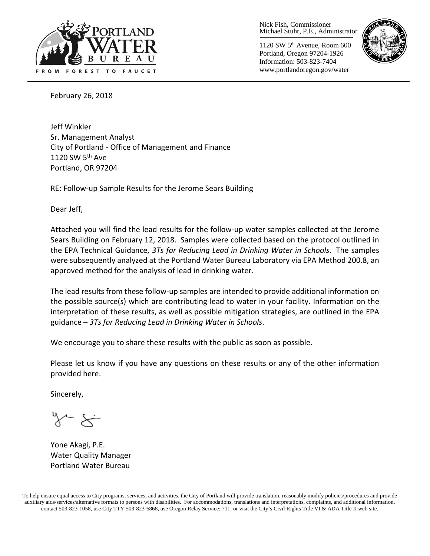

Nick Fish, Commissioner Michael Stuhr, P.E., Administrator

1120 SW 5th Avenue, Room 600 Portland, Oregon 97204-1926 Information: 503-823-7404 www.portlandoregon.gov/water



February 26, 2018

Jeff Winkler Sr. Management Analyst City of Portland - Office of Management and Finance 1120 SW 5<sup>th</sup> Ave Portland, OR 97204

RE: Follow-up Sample Results for the Jerome Sears Building

Dear Jeff,

Attached you will find the lead results for the follow-up water samples collected at the Jerome Sears Building on February 12, 2018. Samples were collected based on the protocol outlined in the EPA Technical Guidance, *3Ts for Reducing Lead in Drinking Water in Schools*. The samples were subsequently analyzed at the Portland Water Bureau Laboratory via EPA Method 200.8, an approved method for the analysis of lead in drinking water.

The lead results from these follow-up samples are intended to provide additional information on the possible source(s) which are contributing lead to water in your facility. Information on the interpretation of these results, as well as possible mitigation strategies, are outlined in the EPA guidance – *3Ts for Reducing Lead in Drinking Water in Schools*.

We encourage you to share these results with the public as soon as possible.

Please let us know if you have any questions on these results or any of the other information provided here.

Sincerely,

Yone Akagi, P.E. Water Quality Manager Portland Water Bureau

To help ensure equal access to City programs, services, and activities, the City of Portland will provide translation, reasonably modify policies/procedures and provide auxiliary aids/services/alternative formats to persons with disabilities. For accommodations, translations and interpretations, complaints, and additional information, contact 503-823-1058, use City TTY 503-823-6868, use Oregon Relay Service: 711, or visi[t the City's Civil Rights Title VI & ADA Title II web site.](http://www.portlandoregon.gov/oehr/66458)